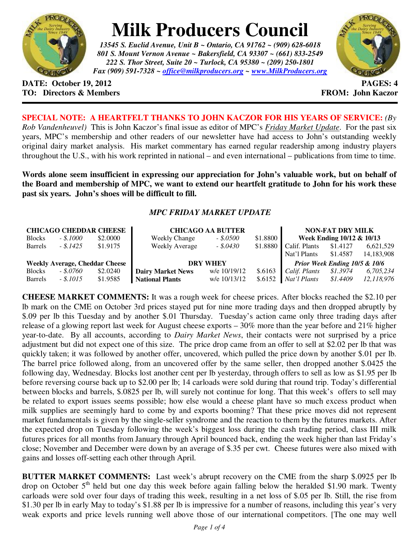

## **Milk Producers Council**

*13545 S. Euclid Avenue, Unit B ~ Ontario, CA 91762 ~ (909) 628-6018 801 S. Mount Vernon Avenue ~ Bakersfield, CA 93307 ~ (661) 833-2549 222 S. Thor Street, Suite 20 ~ Turlock, CA 95380 ~ (209) 250-1801 Fax (909) 591-7328 ~ office@milkproducers.org ~ www.MilkProducers.org*



**DATE: October 19, 2012 PAGES: 4 TO: Directors & Members FROM: John Kaczor** 

**SPECIAL NOTE: A HEARTFELT THANKS TO JOHN KACZOR FOR HIS YEARS OF SERVICE:** *(By Rob Vandenheuvel)* This is John Kaczor's final issue as editor of MPC's *Friday Market Update*. For the past six years, MPC's membership and other readers of our newsletter have had access to John's outstanding weekly original dairy market analysis. His market commentary has earned regular readership among industry players throughout the U.S., with his work reprinted in national – and even international – publications from time to time.

**Words alone seem insufficient in expressing our appreciation for John's valuable work, but on behalf of the Board and membership of MPC, we want to extend our heartfelt gratitude to John for his work these past six years. John's shoes will be difficult to fill.** 

## *MPC FRIDAY MARKET UPDATE*

| <b>CHICAGO CHEDDAR CHEESE</b>         |              |          | <b>CHICAGO AA BUTTER</b> |              |          | <b>NON-FAT DRY MILK</b>       |          |            |
|---------------------------------------|--------------|----------|--------------------------|--------------|----------|-------------------------------|----------|------------|
| <b>Blocks</b>                         | $-.5,1000$   | \$2,0000 | <b>Weekly Change</b>     | $-.50500$    | \$1.8800 | Week Ending 10/12 & 10/13     |          |            |
| <b>Barrels</b>                        | $-.$ \$.1425 | \$1,9175 | <b>Weekly Average</b>    | $-.5.0430$   | \$1.8880 | Calif. Plants                 | \$1.4127 | 6,621,529  |
|                                       |              |          |                          |              |          | Nat'l Plants                  | \$1.4587 | 14.183.908 |
| <b>Weekly Average, Cheddar Cheese</b> |              |          | <b>DRY WHEY</b>          |              |          | Prior Week Ending 10/5 & 10/6 |          |            |
| <b>Blocks</b>                         | $-.8.0760$   | \$2.0240 | Dairy Market News        | w/e 10/19/12 | \$.6163  | Calif. Plants                 | \$1.3974 | 6,705,234  |
| <b>Barrels</b>                        | $-.5.1015$   | \$1.9585 | <b>National Plants</b>   | w/e 10/13/12 | \$.6152  | Nat'l Plants                  | \$1.4409 | 12.118.976 |

**CHEESE MARKET COMMENTS:** It was a rough week for cheese prices. After blocks reached the \$2.10 per lb mark on the CME on October 3rd prices stayed put for nine more trading days and then dropped abruptly by \$.09 per lb this Tuesday and by another \$.01 Thursday. Tuesday's action came only three trading days after release of a glowing report last week for August cheese exports – 30% more than the year before and 21% higher year-to-date. By all accounts, according to *Dairy Market News*, their contacts were not surprised by a price adjustment but did not expect one of this size. The price drop came from an offer to sell at \$2.02 per lb that was quickly taken; it was followed by another offer, uncovered, which pulled the price down by another \$.01 per lb. The barrel price followed along, from an uncovered offer by the same seller, then dropped another \$.0425 the following day, Wednesday. Blocks lost another cent per lb yesterday, through offers to sell as low as \$1.95 per lb before reversing course back up to \$2.00 per lb; 14 carloads were sold during that round trip. Today's differential between blocks and barrels, \$.0825 per lb, will surely not continue for long. That this week's offers to sell may be related to export issues seems possible; how else would a cheese plant have so much excess product when milk supplies are seemingly hard to come by and exports booming? That these price moves did not represent market fundamentals is given by the single-seller syndrome and the reaction to them by the futures markets. After the expected drop on Tuesday following the week's biggest loss during the cash trading period, class III milk futures prices for all months from January through April bounced back, ending the week higher than last Friday's close; November and December were down by an average of \$.35 per cwt. Cheese futures were also mixed with gains and losses off-setting each other through April.

**BUTTER MARKET COMMENTS:** Last week's abrupt recovery on the CME from the sharp \$.0925 per lb drop on October  $5<sup>th</sup>$  held but one day this week before again falling below the heralded \$1.90 mark. Twenty carloads were sold over four days of trading this week, resulting in a net loss of \$.05 per lb. Still, the rise from \$1.30 per lb in early May to today's \$1.88 per lb is impressive for a number of reasons, including this year's very weak exports and price levels running well above those of our international competitors. [The one may well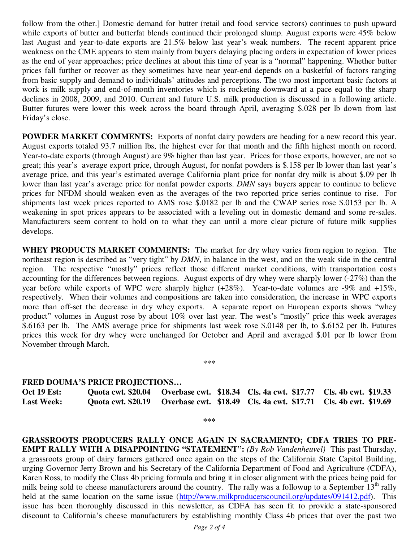follow from the other.] Domestic demand for butter (retail and food service sectors) continues to push upward while exports of butter and butterfat blends continued their prolonged slump. August exports were 45% below last August and year-to-date exports are 21.5% below last year's weak numbers. The recent apparent price weakness on the CME appears to stem mainly from buyers delaying placing orders in expectation of lower prices as the end of year approaches; price declines at about this time of year is a "normal" happening. Whether butter prices fall further or recover as they sometimes have near year-end depends on a basketful of factors ranging from basic supply and demand to individuals' attitudes and perceptions. The two most important basic factors at work is milk supply and end-of-month inventories which is rocketing downward at a pace equal to the sharp declines in 2008, 2009, and 2010. Current and future U.S. milk production is discussed in a following article. Butter futures were lower this week across the board through April, averaging \$.028 per lb down from last Friday's close.

**POWDER MARKET COMMENTS:** Exports of nonfat dairy powders are heading for a new record this year. August exports totaled 93.7 million lbs, the highest ever for that month and the fifth highest month on record. Year-to-date exports (through August) are 9% higher than last year. Prices for those exports, however, are not so great; this year's average export price, through August, for nonfat powders is \$.158 per lb lower than last year's average price, and this year's estimated average California plant price for nonfat dry milk is about \$.09 per lb lower than last year's average price for nonfat powder exports. *DMN* says buyers appear to continue to believe prices for NFDM should weaken even as the averages of the two reported price series continue to rise. For shipments last week prices reported to AMS rose \$.0182 per lb and the CWAP series rose \$.0153 per lb. A weakening in spot prices appears to be associated with a leveling out in domestic demand and some re-sales. Manufacturers seem content to hold on to what they can until a more clear picture of future milk supplies develops.

**WHEY PRODUCTS MARKET COMMENTS:** The market for dry whey varies from region to region. The northeast region is described as "very tight" by *DMN*, in balance in the west, and on the weak side in the central region. The respective "mostly" prices reflect those different market conditions, with transportation costs accounting for the differences between regions. August exports of dry whey were sharply lower (-27%) than the year before while exports of WPC were sharply higher (+28%). Year-to-date volumes are -9% and +15%, respectively. When their volumes and compositions are taken into consideration, the increase in WPC exports more than off-set the decrease in dry whey exports. A separate report on European exports shows "whey product" volumes in August rose by about 10% over last year. The west's "mostly" price this week averages \$.6163 per lb. The AMS average price for shipments last week rose \$.0148 per lb, to \$.6152 per lb. Futures prices this week for dry whey were unchanged for October and April and averaged \$.01 per lb lower from November through March.

\*\*\*

## **FRED DOUMA'S PRICE PROJECTIONS…**

**Oct 19 Est: Quota cwt. \$20.04 Overbase cwt. \$18.34 Cls. 4a cwt. \$17.77 Cls. 4b cwt. \$19.33 Last Week: Quota cwt. \$20.19 Overbase cwt. \$18.49 Cls. 4a cwt. \$17.71 Cls. 4b cwt. \$19.69** 

**\*\*\*** 

**GRASSROOTS PRODUCERS RALLY ONCE AGAIN IN SACRAMENTO; CDFA TRIES TO PRE-EMPT RALLY WITH A DISAPPOINTING "STATEMENT":** *(By Rob Vandenheuvel)* This past Thursday, a grassroots group of dairy farmers gathered once again on the steps of the California State Capitol Building, urging Governor Jerry Brown and his Secretary of the California Department of Food and Agriculture (CDFA), Karen Ross, to modify the Class 4b pricing formula and bring it in closer alignment with the prices being paid for milk being sold to cheese manufacturers around the country. The rally was a followup to a September  $13<sup>th</sup>$  rally held at the same location on the same issue (http://www.milkproducerscouncil.org/updates/091412.pdf). This issue has been thoroughly discussed in this newsletter, as CDFA has seen fit to provide a state-sponsored discount to California's cheese manufacturers by establishing monthly Class 4b prices that over the past two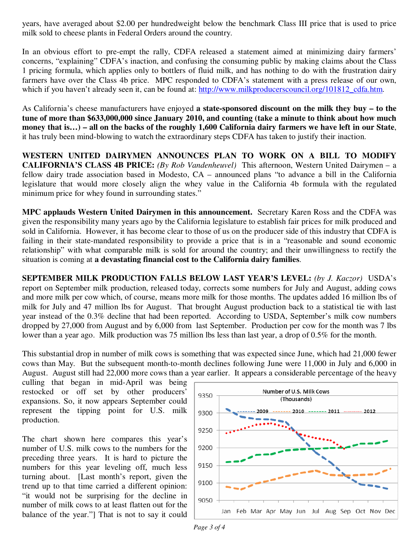years, have averaged about \$2.00 per hundredweight below the benchmark Class III price that is used to price milk sold to cheese plants in Federal Orders around the country.

In an obvious effort to pre-empt the rally, CDFA released a statement aimed at minimizing dairy farmers' concerns, "explaining" CDFA's inaction, and confusing the consuming public by making claims about the Class 1 pricing formula, which applies only to bottlers of fluid milk, and has nothing to do with the frustration dairy farmers have over the Class 4b price. MPC responded to CDFA's statement with a press release of our own, which if you haven't already seen it, can be found at: http://www.milkproducerscouncil.org/101812\_cdfa.htm.

As California's cheese manufacturers have enjoyed **a state-sponsored discount on the milk they buy – to the tune of more than \$633,000,000 since January 2010, and counting (take a minute to think about how much money that is…) – all on the backs of the roughly 1,600 California dairy farmers we have left in our State**, it has truly been mind-blowing to watch the extraordinary steps CDFA has taken to justify their inaction.

**WESTERN UNITED DAIRYMEN ANNOUNCES PLAN TO WORK ON A BILL TO MODIFY CALIFORNIA'S CLASS 4B PRICE:** *(By Rob Vandenheuvel)* This afternoon, Western United Dairymen – a fellow dairy trade association based in Modesto, CA – announced plans "to advance a bill in the California legislature that would more closely align the whey value in the California 4b formula with the regulated minimum price for whey found in surrounding states."

**MPC applauds Western United Dairymen in this announcement.** Secretary Karen Ross and the CDFA was given the responsibility many years ago by the California legislature to establish fair prices for milk produced and sold in California. However, it has become clear to those of us on the producer side of this industry that CDFA is failing in their state-mandated responsibility to provide a price that is in a "reasonable and sound economic relationship" with what comparable milk is sold for around the country; and their unwillingness to rectify the situation is coming at **a devastating financial cost to the California dairy families**.

**SEPTEMBER MILK PRODUCTION FALLS BELOW LAST YEAR'S LEVEL:** *(by J. Kaczor)* USDA's report on September milk production, released today, corrects some numbers for July and August, adding cows and more milk per cow which, of course, means more milk for those months. The updates added 16 million lbs of milk for July and 47 million lbs for August. That brought August production back to a statistical tie with last year instead of the 0.3% decline that had been reported. According to USDA, September's milk cow numbers dropped by 27,000 from August and by 6,000 from last September. Production per cow for the month was 7 lbs lower than a year ago. Milk production was 75 million lbs less than last year, a drop of 0.5% for the month.

This substantial drop in number of milk cows is something that was expected since June, which had 21,000 fewer cows than May. But the subsequent month-to-month declines following June were 11,000 in July and 6,000 in August. August still had 22,000 more cows than a year earlier. It appears a considerable percentage of the heavy

culling that began in mid-April was being restocked or off set by other producers' expansions. So, it now appears September could represent the tipping point for U.S. milk production.

The chart shown here compares this year's number of U.S. milk cows to the numbers for the preceding three years. It is hard to picture the numbers for this year leveling off, much less turning about. [Last month's report, given the trend up to that time carried a different opinion: "it would not be surprising for the decline in number of milk cows to at least flatten out for the balance of the year."] That is not to say it could